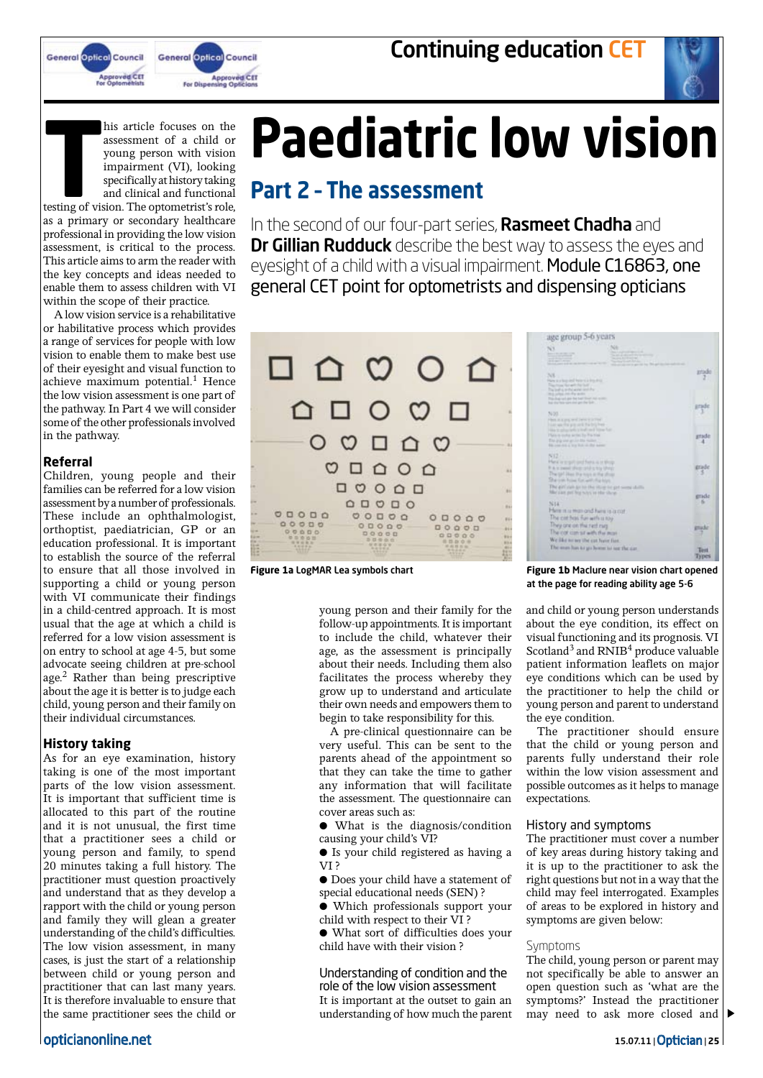



his article focuses on the assessment of a child or young person with vision impairment (VI), looking specifically at history taking and clinical and functional

testing of vision. The optometrist's role, as a primary or secondary healthcare professional in providing the low vision assessment, is critical to the process. This article aims to arm the reader with the key concepts and ideas needed to enable them to assess children with VI within the scope of their practice.

A low vision service is a rehabilitative or habilitative process which provides a range of services for people with low vision to enable them to make best use of their eyesight and visual function to achieve maximum potential.<sup>1</sup> Hence the low vision assessment is one part of the pathway. In Part 4 we will consider some of the other professionals involved in the pathway.

#### **Referral**

Children, young people and their families can be referred for a low vision assessment by a number of professionals. These include an ophthalmologist, orthoptist, paediatrician, GP or an education professional. It is important to establish the source of the referral to ensure that all those involved in supporting a child or young person with VI communicate their findings in a child-centred approach. It is most usual that the age at which a child is referred for a low vision assessment is on entry to school at age 4-5, but some advocate seeing children at pre-school age.2 Rather than being prescriptive about the age it is better is to judge each child, young person and their family on their individual circumstances.

#### **History taking**

As for an eye examination, history taking is one of the most important parts of the low vision assessment. It is important that sufficient time is allocated to this part of the routine and it is not unusual, the first time that a practitioner sees a child or young person and family, to spend 20 minutes taking a full history. The practitioner must question proactively and understand that as they develop a rapport with the child or young person and family they will glean a greater understanding of the child's difficulties. The low vision assessment, in many cases, is just the start of a relationship between child or young person and practitioner that can last many years. It is therefore invaluable to ensure that the same practitioner sees the child or

# **Paediatric low vision**

# **Part 2 – The assessment**

In the second of our four-part series, **Rasmeet Chadha** and **Dr Gillian Rudduck** describe the best way to assess the eyes and eyesight of a child with a visual impairment. Module C16863, one general CET point for optometrists and dispensing opticians



young person and their family for the follow-up appointments. It is important to include the child, whatever their age, as the assessment is principally about their needs. Including them also facilitates the process whereby they grow up to understand and articulate their own needs and empowers them to begin to take responsibility for this.

A pre-clinical questionnaire can be very useful. This can be sent to the parents ahead of the appointment so that they can take the time to gather any information that will facilitate the assessment. The questionnaire can cover areas such as:

● What is the diagnosis/condition causing your child's VI?

● Is your child registered as having a VI ?

● Does your child have a statement of special educational needs (SEN) ?

● Which professionals support your child with respect to their VI ?

● What sort of difficulties does your child have with their vision ?

Understanding of condition and the role of the low vision assessment

It is important at the outset to gain an understanding of how much the parent

| age group 5-6 years                                                                                                                                                                                    |              |
|--------------------------------------------------------------------------------------------------------------------------------------------------------------------------------------------------------|--------------|
| N3<br>Service Processing<br>the party of the product states<br><b>Scott Ford Street</b><br>And again, where<br>Service Court Street<br>take our is approved for 1980 and                               |              |
| 76%<br>Plane is a look deal. Next in a link drive<br>This truck field with this facility                                                                                                               | <b>Erikā</b> |
| The ball is to the array land that<br>this price into the water<br>This chap car age that built filmer was recent-<br>but shorters various per the last                                                |              |
| N-30<br>Flash in a program of Darrell V (2019)<br>I can use the pre-cent the brightees<br>1984 to advantage a traditional filters. And                                                                 |              |
| Plans in quitte write: Its Pla Hies<br>This and one art in this motion.<br>\$6.100.03.2 try but in the agent<br>N12-1                                                                                  |              |
| Hex is a got just for a a to they<br>If A is mean! (Form of U is his UPsta)<br>The tal Her the toys in the show<br>She can how for with the kips<br>The girl right go to the oliver to get some shifts | trad         |
| Micrael pricing was in the these<br>N14<br>Here is a man ond here is a curt                                                                                                                            | rade         |
| The cirt has fur with a ray<br>They are on the retting<br>The cor can sit with the most<br>We like to any the cut have that                                                                            |              |
| The man has he go home to see the car                                                                                                                                                                  | Test         |

**Figure 1a** LogMAR Lea symbols chart **Figure 1b** Maclure near vision chart opened at the page for reading ability age 5-6

and child or young person understands about the eye condition, its effect on visual functioning and its prognosis. VI Scotland<sup>3</sup> and RNIB<sup>4</sup> produce valuable patient information leaflets on major eye conditions which can be used by the practitioner to help the child or young person and parent to understand the eye condition.

The practitioner should ensure that the child or young person and parents fully understand their role within the low vision assessment and possible outcomes as it helps to manage expectations.

#### History and symptoms

The practitioner must cover a number of key areas during history taking and it is up to the practitioner to ask the right questions but not in a way that the child may feel interrogated. Examples of areas to be explored in history and symptoms are given below:

#### Symptoms

The child, young person or parent may not specifically be able to answer an open question such as 'what are the symptoms?' Instead the practitioner may need to ask more closed and

## opticianonline.net 15.07.11 | Optician <sup>|</sup>**<sup>25</sup>**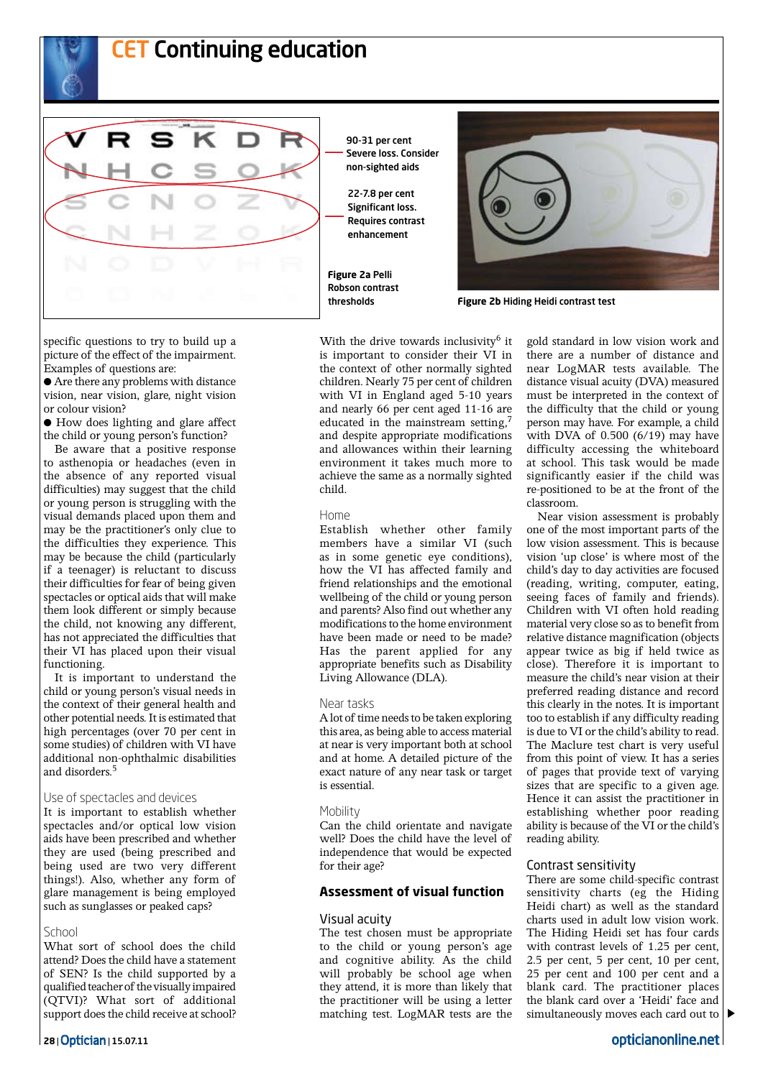

## **CET Continuing education**



90-31 per cent Severe loss. Consider non-sighted aids

22-7.8 per cent Significant loss. Requires contrast enhancement

With the drive towards inclusivity $6$  it is important to consider their VI in the context of other normally sighted children. Nearly 75 per cent of children with VI in England aged 5-10 years and nearly 66 per cent aged 11-16 are

**Figure 2a** Pelli Robson contrast



thresholds **Figure 2b** Hiding Heidi contrast test

specific questions to try to build up a picture of the effect of the impairment. Examples of questions are:

● Are there any problems with distance vision, near vision, glare, night vision or colour vision?

● How does lighting and glare affect the child or young person's function?

Be aware that a positive response to asthenopia or headaches (even in the absence of any reported visual difficulties) may suggest that the child or young person is struggling with the visual demands placed upon them and may be the practitioner's only clue to the difficulties they experience. This may be because the child (particularly if a teenager) is reluctant to discuss their difficulties for fear of being given spectacles or optical aids that will make them look different or simply because the child, not knowing any different, has not appreciated the difficulties that their VI has placed upon their visual functioning.

It is important to understand the child or young person's visual needs in the context of their general health and other potential needs. It is estimated that high percentages (over 70 per cent in some studies) of children with VI have additional non-ophthalmic disabilities and disorders.5

#### Use of spectacles and devices

It is important to establish whether spectacles and/or optical low vision aids have been prescribed and whether they are used (being prescribed and being used are two very different things!). Also, whether any form of glare management is being employed such as sunglasses or peaked caps?

#### School

What sort of school does the child attend? Does the child have a statement of SEN? Is the child supported by a qualified teacher of the visually impaired (QTVI)? What sort of additional support does the child receive at school? educated in the mainstream setting,<sup>7</sup> and despite appropriate modifications and allowances within their learning environment it takes much more to achieve the same as a normally sighted child. Home Establish whether other family members have a similar VI (such as in some genetic eye conditions), how the VI has affected family and

friend relationships and the emotional wellbeing of the child or young person and parents? Also find out whether any modifications to the home environment have been made or need to be made? Has the parent applied for any appropriate benefits such as Disability Living Allowance (DLA).

#### Near tasks

A lot of time needs to be taken exploring this area, as being able to access material at near is very important both at school and at home. A detailed picture of the exact nature of any near task or target is essential.

#### **Mobility**

Can the child orientate and navigate well? Does the child have the level of independence that would be expected for their age?

#### **Assessment of visual function**

#### Visual acuity

The test chosen must be appropriate to the child or young person's age and cognitive ability. As the child will probably be school age when they attend, it is more than likely that the practitioner will be using a letter matching test. LogMAR tests are the

gold standard in low vision work and there are a number of distance and near LogMAR tests available. The distance visual acuity (DVA) measured must be interpreted in the context of the difficulty that the child or young person may have. For example, a child with DVA of 0.500 (6/19) may have difficulty accessing the whiteboard at school. This task would be made significantly easier if the child was re-positioned to be at the front of the classroom.

Near vision assessment is probably one of the most important parts of the low vision assessment. This is because vision 'up close' is where most of the child's day to day activities are focused (reading, writing, computer, eating, seeing faces of family and friends). Children with VI often hold reading material very close so as to benefit from relative distance magnification (objects appear twice as big if held twice as close). Therefore it is important to measure the child's near vision at their preferred reading distance and record this clearly in the notes. It is important too to establish if any difficulty reading is due to VI or the child's ability to read. The Maclure test chart is very useful from this point of view. It has a series of pages that provide text of varying sizes that are specific to a given age. Hence it can assist the practitioner in establishing whether poor reading ability is because of the VI or the child's reading ability.

#### Contrast sensitivity

There are some child-specific contrast sensitivity charts (eg the Hiding Heidi chart) as well as the standard charts used in adult low vision work. The Hiding Heidi set has four cards with contrast levels of 1.25 per cent, 2.5 per cent, 5 per cent, 10 per cent, 25 per cent and 100 per cent and a blank card. The practitioner places the blank card over a 'Heidi' face and simultaneously moves each card out to  $\triangleright$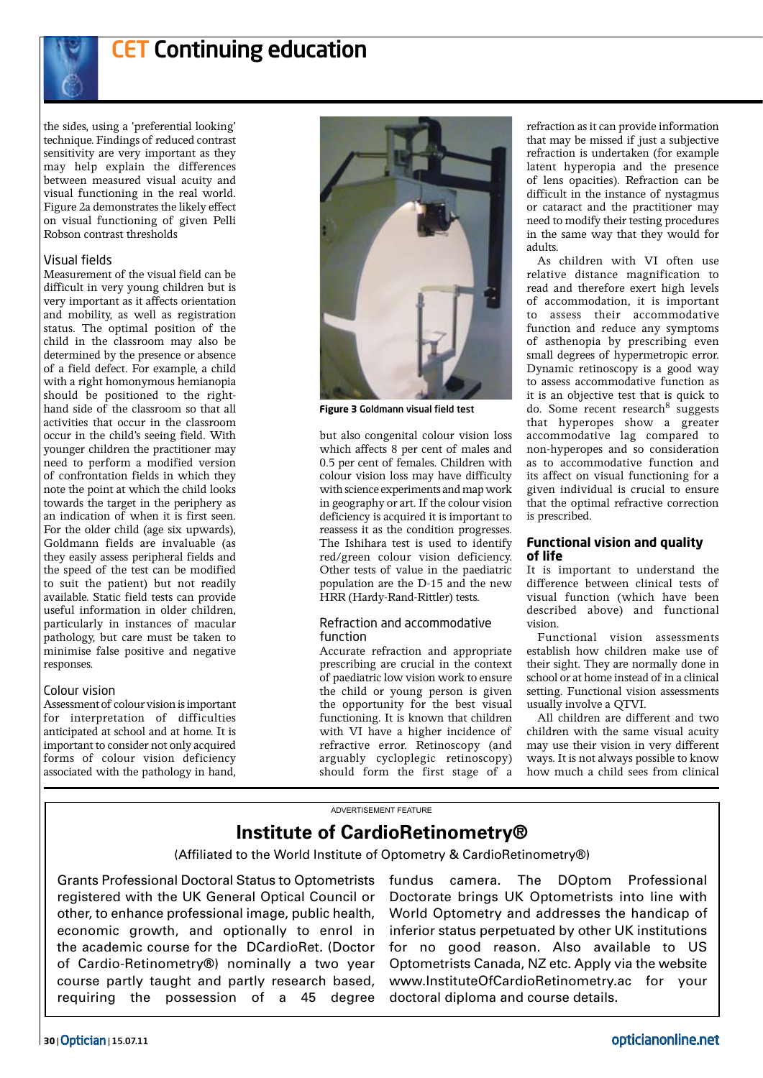

# **CET Continuing education**

the sides, using a 'preferential looking' technique. Findings of reduced contrast sensitivity are very important as they may help explain the differences between measured visual acuity and visual functioning in the real world. Figure 2a demonstrates the likely effect on visual functioning of given Pelli Robson contrast thresholds

#### Visual fields

Measurement of the visual field can be difficult in very young children but is very important as it affects orientation and mobility, as well as registration status. The optimal position of the child in the classroom may also be determined by the presence or absence of a field defect. For example, a child with a right homonymous hemianopia should be positioned to the righthand side of the classroom so that all activities that occur in the classroom occur in the child's seeing field. With younger children the practitioner may need to perform a modified version of confrontation fields in which they note the point at which the child looks towards the target in the periphery as an indication of when it is first seen. For the older child (age six upwards), Goldmann fields are invaluable (as they easily assess peripheral fields and the speed of the test can be modified to suit the patient) but not readily available. Static field tests can provide useful information in older children, particularly in instances of macular pathology, but care must be taken to minimise false positive and negative responses.

#### Colour vision

Assessment of colour vision is important for interpretation of difficulties anticipated at school and at home. It is important to consider not only acquired forms of colour vision deficiency associated with the pathology in hand,



**Figure 3** Goldmann visual field test

but also congenital colour vision loss which affects 8 per cent of males and 0.5 per cent of females. Children with colour vision loss may have difficulty with science experiments and map work in geography or art. If the colour vision deficiency is acquired it is important to reassess it as the condition progresses. The Ishihara test is used to identify red/green colour vision deficiency. Other tests of value in the paediatric population are the D-15 and the new HRR (Hardy-Rand-Rittler) tests.

#### Refraction and accommodative function

Accurate refraction and appropriate prescribing are crucial in the context of paediatric low vision work to ensure the child or young person is given the opportunity for the best visual functioning. It is known that children with VI have a higher incidence of refractive error. Retinoscopy (and arguably cycloplegic retinoscopy) should form the first stage of a

refraction as it can provide information that may be missed if just a subjective refraction is undertaken (for example latent hyperopia and the presence of lens opacities). Refraction can be difficult in the instance of nystagmus or cataract and the practitioner may need to modify their testing procedures in the same way that they would for adults.

As children with VI often use relative distance magnification to read and therefore exert high levels of accommodation, it is important to assess their accommodative function and reduce any symptoms of asthenopia by prescribing even small degrees of hypermetropic error. Dynamic retinoscopy is a good way to assess accommodative function as it is an objective test that is quick to do. Some recent research $8$  suggests that hyperopes show a greater accommodative lag compared to non-hyperopes and so consideration as to accommodative function and its affect on visual functioning for a given individual is crucial to ensure that the optimal refractive correction is prescribed.

#### **Functional vision and quality of life**

It is important to understand the difference between clinical tests of visual function (which have been described above) and functional vision.

Functional vision assessments establish how children make use of their sight. They are normally done in school or at home instead of in a clinical setting. Functional vision assessments usually involve a QTVI.

All children are different and two children with the same visual acuity may use their vision in very different ways. It is not always possible to know how much a child sees from clinical

#### ADVERTISEMENT FEATURE

## **Institute of CardioRetinometry®**

(Affiliated to the World Institute of Optometry & CardioRetinometry®)

Grants Professional Doctoral Status to Optometrists registered with the UK General Optical Council or other, to enhance professional image, public health, economic growth, and optionally to enrol in the academic course for the DCardioRet. (Doctor of Cardio-Retinometry®) nominally a two year course partly taught and partly research based, requiring the possession of a 45 degree

fundus camera. The DOptom Professional Doctorate brings UK Optometrists into line with World Optometry and addresses the handicap of inferior status perpetuated by other UK institutions for no good reason. Also available to US Optometrists Canada, NZ etc. Apply via the website www.InstituteOfCardioRetinometry.ac for your doctoral diploma and course details.